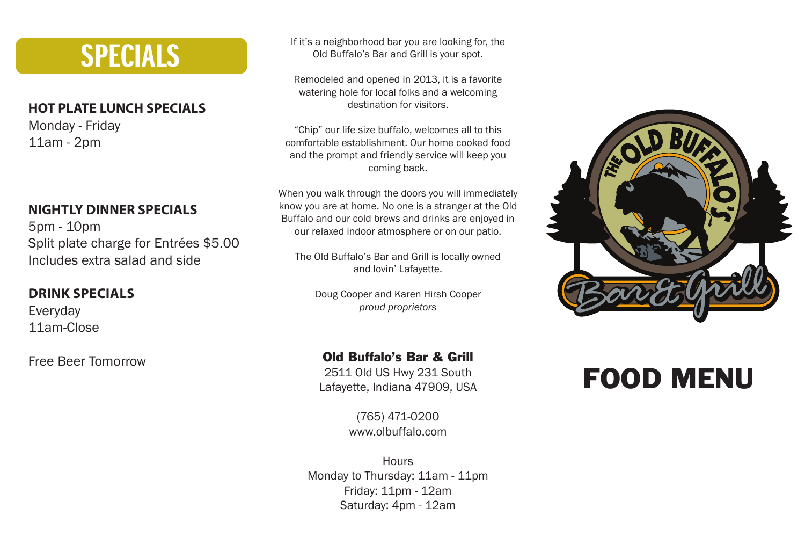## SPECIALS

### **HOT PLATE LUNCH SPECIALS**

Monday - Friday 11am - 2pm

### **NIGHTLY DINNER SPECIALS**

5pm - 10pm Split plate charge for Entrées \$5.00 Includes extra salad and side

### **DRINK SPECIALS**

Everyday 11am-Close

Free Beer Tomorrow

If it's a neighborhood bar you are looking for, the Old Buffalo's Bar and Grill is your spot.

Remodeled and opened in 2013, it is a favorite watering hole for local folks and a welcoming destination for visitors.

"Chip" our life size buffalo, welcomes all to this comfortable establishment. Our home cooked food and the prompt and friendly service will keep you coming back.

When you walk through the doors you will immediately know you are at home. No one is a stranger at the Old Buffalo and our cold brews and drinks are enjoyed in our relaxed indoor atmosphere or on our patio.

The Old Buffalo's Bar and Grill is locally owned and lovin' Lafayette.

Doug Cooper and Karen Hirsh Cooper *proud proprietors*

### Old Buffalo's Bar & Grill

2511 Old US Hwy 231 South Lafayette, Indiana 47909, USA

> (765) 471-0200 www.olbuffalo.com

**Hours** Monday to Thursday: 11am - 11pm Friday: 11pm - 12am Saturday: 4pm - 12am



## FOOD MENU